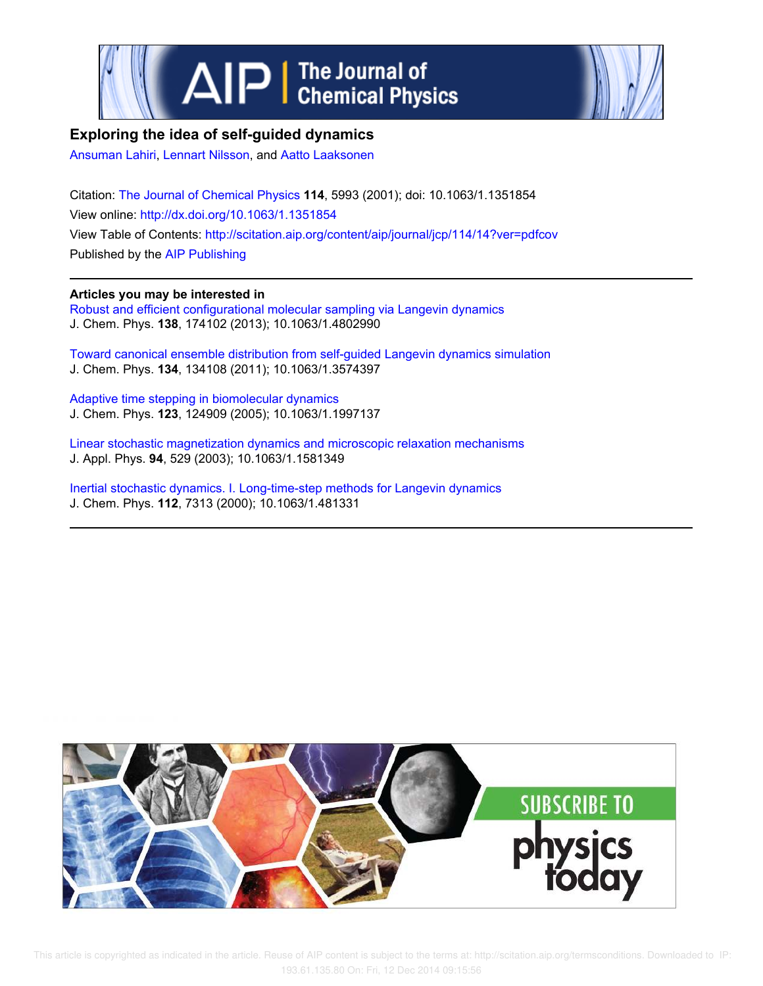



# **Exploring the idea of self-guided dynamics**

Ansuman Lahiri, Lennart Nilsson, and Aatto Laaksonen

Citation: The Journal of Chemical Physics **114**, 5993 (2001); doi: 10.1063/1.1351854 View online: http://dx.doi.org/10.1063/1.1351854 View Table of Contents: http://scitation.aip.org/content/aip/journal/jcp/114/14?ver=pdfcov Published by the AIP Publishing

**Articles you may be interested in**

Robust and efficient configurational molecular sampling via Langevin dynamics J. Chem. Phys. **138**, 174102 (2013); 10.1063/1.4802990

Toward canonical ensemble distribution from self-guided Langevin dynamics simulation J. Chem. Phys. **134**, 134108 (2011); 10.1063/1.3574397

Adaptive time stepping in biomolecular dynamics J. Chem. Phys. **123**, 124909 (2005); 10.1063/1.1997137

Linear stochastic magnetization dynamics and microscopic relaxation mechanisms J. Appl. Phys. **94**, 529 (2003); 10.1063/1.1581349

Inertial stochastic dynamics. I. Long-time-step methods for Langevin dynamics J. Chem. Phys. **112**, 7313 (2000); 10.1063/1.481331

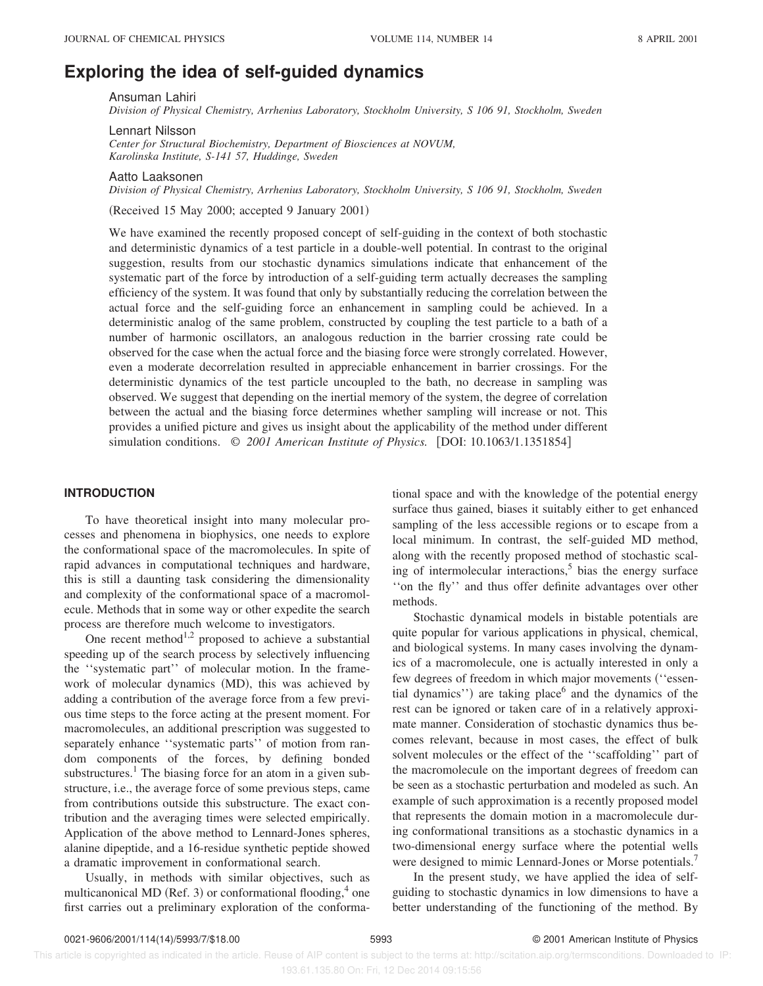# **Exploring the idea of self-guided dynamics**

Ansuman Lahiri

*Division of Physical Chemistry, Arrhenius Laboratory, Stockholm University, S 106 91, Stockholm, Sweden*

Lennart Nilsson

*Center for Structural Biochemistry, Department of Biosciences at NOVUM, Karolinska Institute, S-141 57, Huddinge, Sweden*

#### Aatto Laaksonen

*Division of Physical Chemistry, Arrhenius Laboratory, Stockholm University, S 106 91, Stockholm, Sweden*

(Received 15 May 2000; accepted 9 January 2001)

We have examined the recently proposed concept of self-guiding in the context of both stochastic and deterministic dynamics of a test particle in a double-well potential. In contrast to the original suggestion, results from our stochastic dynamics simulations indicate that enhancement of the systematic part of the force by introduction of a self-guiding term actually decreases the sampling efficiency of the system. It was found that only by substantially reducing the correlation between the actual force and the self-guiding force an enhancement in sampling could be achieved. In a deterministic analog of the same problem, constructed by coupling the test particle to a bath of a number of harmonic oscillators, an analogous reduction in the barrier crossing rate could be observed for the case when the actual force and the biasing force were strongly correlated. However, even a moderate decorrelation resulted in appreciable enhancement in barrier crossings. For the deterministic dynamics of the test particle uncoupled to the bath, no decrease in sampling was observed. We suggest that depending on the inertial memory of the system, the degree of correlation between the actual and the biasing force determines whether sampling will increase or not. This provides a unified picture and gives us insight about the applicability of the method under different simulation conditions.  $\oslash$  2001 American Institute of Physics. [DOI: 10.1063/1.1351854]

## **INTRODUCTION**

To have theoretical insight into many molecular processes and phenomena in biophysics, one needs to explore the conformational space of the macromolecules. In spite of rapid advances in computational techniques and hardware, this is still a daunting task considering the dimensionality and complexity of the conformational space of a macromolecule. Methods that in some way or other expedite the search process are therefore much welcome to investigators.

One recent method<sup>1,2</sup> proposed to achieve a substantial speeding up of the search process by selectively influencing the ''systematic part'' of molecular motion. In the framework of molecular dynamics (MD), this was achieved by adding a contribution of the average force from a few previous time steps to the force acting at the present moment. For macromolecules, an additional prescription was suggested to separately enhance ''systematic parts'' of motion from random components of the forces, by defining bonded substructures.<sup>1</sup> The biasing force for an atom in a given substructure, i.e., the average force of some previous steps, came from contributions outside this substructure. The exact contribution and the averaging times were selected empirically. Application of the above method to Lennard-Jones spheres, alanine dipeptide, and a 16-residue synthetic peptide showed a dramatic improvement in conformational search.

Usually, in methods with similar objectives, such as multicanonical MD (Ref. 3) or conformational flooding,  $4$  one first carries out a preliminary exploration of the conformational space and with the knowledge of the potential energy surface thus gained, biases it suitably either to get enhanced sampling of the less accessible regions or to escape from a local minimum. In contrast, the self-guided MD method, along with the recently proposed method of stochastic scaling of intermolecular interactions,<sup>5</sup> bias the energy surface ''on the fly'' and thus offer definite advantages over other methods.

Stochastic dynamical models in bistable potentials are quite popular for various applications in physical, chemical, and biological systems. In many cases involving the dynamics of a macromolecule, one is actually interested in only a few degrees of freedom in which major movements ("essential dynamics'') are taking place<sup>6</sup> and the dynamics of the rest can be ignored or taken care of in a relatively approximate manner. Consideration of stochastic dynamics thus becomes relevant, because in most cases, the effect of bulk solvent molecules or the effect of the ''scaffolding'' part of the macromolecule on the important degrees of freedom can be seen as a stochastic perturbation and modeled as such. An example of such approximation is a recently proposed model that represents the domain motion in a macromolecule during conformational transitions as a stochastic dynamics in a two-dimensional energy surface where the potential wells were designed to mimic Lennard-Jones or Morse potentials.<sup>7</sup>

In the present study, we have applied the idea of selfguiding to stochastic dynamics in low dimensions to have a better understanding of the functioning of the method. By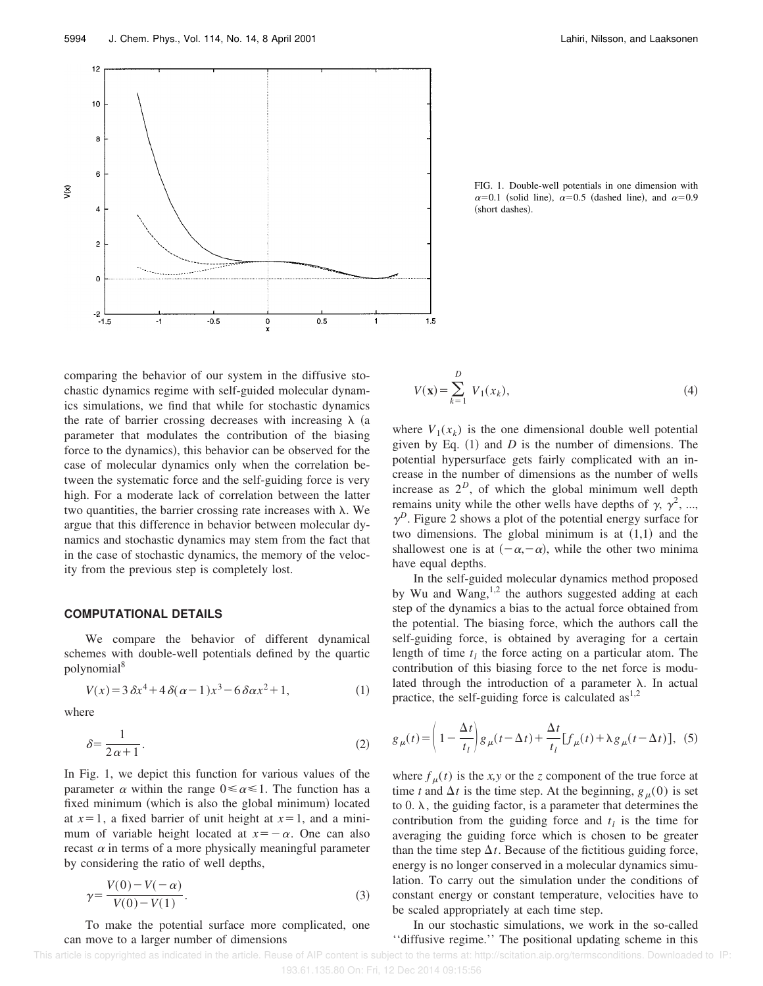

FIG. 1. Double-well potentials in one dimension with  $\alpha=0.1$  (solid line),  $\alpha=0.5$  (dashed line), and  $\alpha=0.9$ (short dashes).

comparing the behavior of our system in the diffusive stochastic dynamics regime with self-guided molecular dynamics simulations, we find that while for stochastic dynamics the rate of barrier crossing decreases with increasing  $\lambda$  (a parameter that modulates the contribution of the biasing force to the dynamics), this behavior can be observed for the case of molecular dynamics only when the correlation between the systematic force and the self-guiding force is very high. For a moderate lack of correlation between the latter two quantities, the barrier crossing rate increases with  $\lambda$ . We argue that this difference in behavior between molecular dynamics and stochastic dynamics may stem from the fact that in the case of stochastic dynamics, the memory of the velocity from the previous step is completely lost.

### **COMPUTATIONAL DETAILS**

We compare the behavior of different dynamical schemes with double-well potentials defined by the quartic polynomial<sup>8</sup>

$$
V(x) = 3\,\delta x^4 + 4\,\delta(\alpha - 1)x^3 - 6\,\delta\alpha x^2 + 1,\tag{1}
$$

where

$$
\delta = \frac{1}{2\alpha + 1}.
$$

In Fig. 1, we depict this function for various values of the parameter  $\alpha$  within the range  $0 \le \alpha \le 1$ . The function has a fixed minimum (which is also the global minimum) located at  $x=1$ , a fixed barrier of unit height at  $x=1$ , and a minimum of variable height located at  $x=-\alpha$ . One can also recast  $\alpha$  in terms of a more physically meaningful parameter by considering the ratio of well depths,

$$
\gamma = \frac{V(0) - V(-\alpha)}{V(0) - V(1)}.
$$
\n(3)

To make the potential surface more complicated, one can move to a larger number of dimensions

$$
V(\mathbf{x}) = \sum_{k=1}^{D} V_1(x_k),
$$
\n(4)

where  $V_1(x_k)$  is the one dimensional double well potential given by Eq.  $(1)$  and *D* is the number of dimensions. The potential hypersurface gets fairly complicated with an increase in the number of dimensions as the number of wells increase as  $2^D$ , of which the global minimum well depth remains unity while the other wells have depths of  $\gamma$ ,  $\gamma^2$ , ...,  $\gamma^D$ . Figure 2 shows a plot of the potential energy surface for two dimensions. The global minimum is at  $(1,1)$  and the shallowest one is at  $(-\alpha,-\alpha)$ , while the other two minima have equal depths.

In the self-guided molecular dynamics method proposed by Wu and Wang, $1,2$  the authors suggested adding at each step of the dynamics a bias to the actual force obtained from the potential. The biasing force, which the authors call the self-guiding force, is obtained by averaging for a certain length of time  $t_l$  the force acting on a particular atom. The contribution of this biasing force to the net force is modulated through the introduction of a parameter  $\lambda$ . In actual practice, the self-guiding force is calculated  $as<sup>1,2</sup>$ 

$$
g_{\mu}(t) = \left(1 - \frac{\Delta t}{t_{l}}\right)g_{\mu}(t - \Delta t) + \frac{\Delta t}{t_{l}}[f_{\mu}(t) + \lambda g_{\mu}(t - \Delta t)],
$$
 (5)

where  $f_{\mu}(t)$  is the *x*, *y* or the *z* component of the true force at time *t* and  $\Delta t$  is the time step. At the beginning,  $g_{\mu}(0)$  is set to  $0. \lambda$ , the guiding factor, is a parameter that determines the contribution from the guiding force and  $t_l$  is the time for averaging the guiding force which is chosen to be greater than the time step  $\Delta t$ . Because of the fictitious guiding force, energy is no longer conserved in a molecular dynamics simulation. To carry out the simulation under the conditions of constant energy or constant temperature, velocities have to be scaled appropriately at each time step.

In our stochastic simulations, we work in the so-called ''diffusive regime.'' The positional updating scheme in this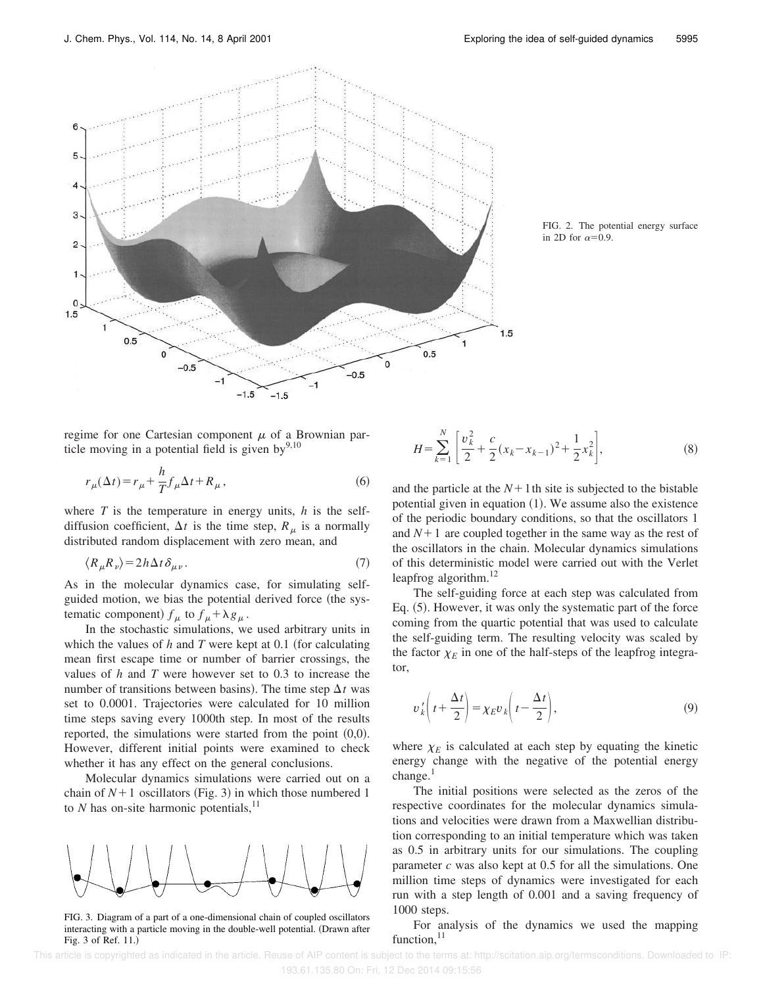

FIG. 2. The potential energy surface in 2D for  $\alpha=0.9$ .

regime for one Cartesian component  $\mu$  of a Brownian particle moving in a potential field is given by $9,10$ 

$$
r_{\mu}(\Delta t) = r_{\mu} + \frac{h}{T} f_{\mu} \Delta t + R_{\mu}, \qquad (6)
$$

where *T* is the temperature in energy units, *h* is the selfdiffusion coefficient,  $\Delta t$  is the time step,  $R_\mu$  is a normally distributed random displacement with zero mean, and

$$
\langle R_{\mu} R_{\nu} \rangle = 2h \Delta t \, \delta_{\mu\nu} \,. \tag{7}
$$

As in the molecular dynamics case, for simulating selfguided motion, we bias the potential derived force (the systematic component)  $f_{\mu}$  to  $f_{\mu} + \lambda g_{\mu}$ .

In the stochastic simulations, we used arbitrary units in which the values of  $h$  and  $T$  were kept at 0.1 (for calculating mean first escape time or number of barrier crossings, the values of *h* and *T* were however set to 0.3 to increase the number of transitions between basins). The time step  $\Delta t$  was set to 0.0001. Trajectories were calculated for 10 million time steps saving every 1000th step. In most of the results reported, the simulations were started from the point  $(0,0)$ . However, different initial points were examined to check whether it has any effect on the general conclusions.

Molecular dynamics simulations were carried out on a chain of  $N+1$  oscillators (Fig. 3) in which those numbered 1 to  $N$  has on-site harmonic potentials,<sup>11</sup>



FIG. 3. Diagram of a part of a one-dimensional chain of coupled oscillators interacting with a particle moving in the double-well potential. (Drawn after Fig. 3 of Ref. 11.)

$$
H = \sum_{k=1}^{N} \left[ \frac{\nu_k^2}{2} + \frac{c}{2} (x_k - x_{k-1})^2 + \frac{1}{2} x_k^2 \right],
$$
 (8)

and the particle at the  $N+1$ th site is subjected to the bistable potential given in equation  $(1)$ . We assume also the existence of the periodic boundary conditions, so that the oscillators 1 and  $N+1$  are coupled together in the same way as the rest of the oscillators in the chain. Molecular dynamics simulations of this deterministic model were carried out with the Verlet leapfrog algorithm.<sup>12</sup>

The self-guiding force at each step was calculated from Eq. (5). However, it was only the systematic part of the force coming from the quartic potential that was used to calculate the self-guiding term. The resulting velocity was scaled by the factor  $\chi_E$  in one of the half-steps of the leapfrog integrator,

$$
v'_{k}\left(t+\frac{\Delta t}{2}\right) = \chi_{E}v_{k}\left(t-\frac{\Delta t}{2}\right),\tag{9}
$$

where  $\chi_E$  is calculated at each step by equating the kinetic energy change with the negative of the potential energy  $change.<sup>1</sup>$ 

The initial positions were selected as the zeros of the respective coordinates for the molecular dynamics simulations and velocities were drawn from a Maxwellian distribution corresponding to an initial temperature which was taken as 0.5 in arbitrary units for our simulations. The coupling parameter *c* was also kept at 0.5 for all the simulations. One million time steps of dynamics were investigated for each run with a step length of 0.001 and a saving frequency of 1000 steps.

For analysis of the dynamics we used the mapping function, $11$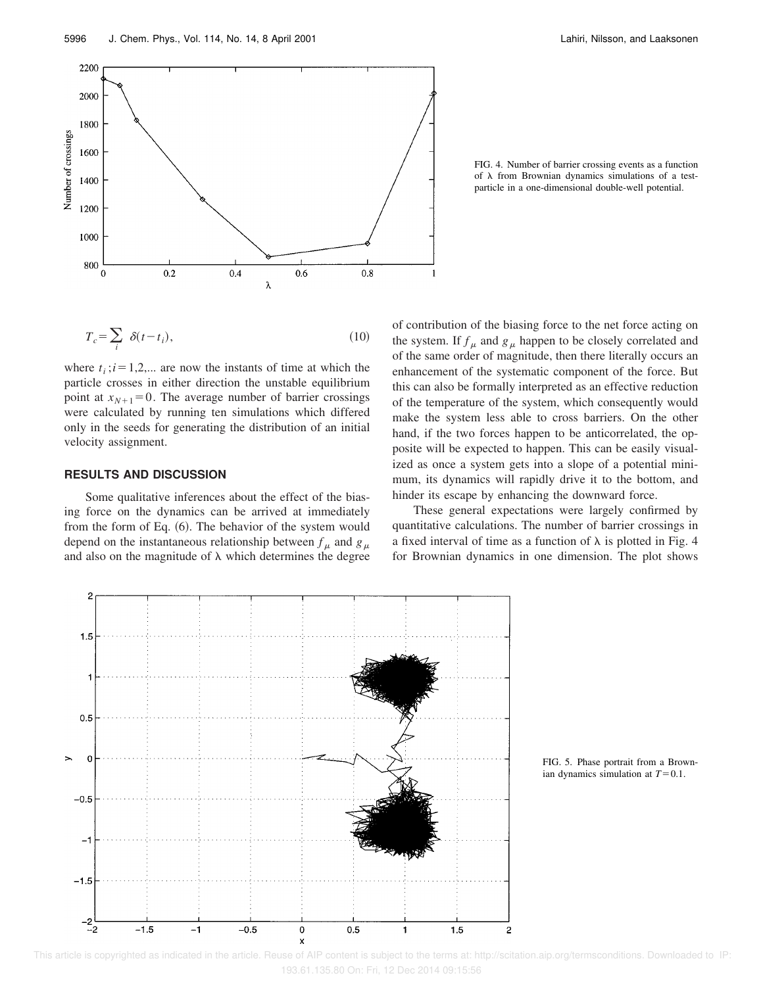

FIG. 4. Number of barrier crossing events as a function of  $\lambda$  from Brownian dynamics simulations of a testparticle in a one-dimensional double-well potential.

$$
T_c = \sum_i \delta(t - t_i), \tag{10}
$$

where  $t_i$ ;  $i = 1,2,...$  are now the instants of time at which the particle crosses in either direction the unstable equilibrium point at  $x_{N+1}=0$ . The average number of barrier crossings were calculated by running ten simulations which differed only in the seeds for generating the distribution of an initial velocity assignment.

#### **RESULTS AND DISCUSSION**

Some qualitative inferences about the effect of the biasing force on the dynamics can be arrived at immediately from the form of Eq.  $(6)$ . The behavior of the system would depend on the instantaneous relationship between  $f_{\mu}$  and  $g_{\mu}$ and also on the magnitude of  $\lambda$  which determines the degree of contribution of the biasing force to the net force acting on the system. If  $f_{\mu}$  and  $g_{\mu}$  happen to be closely correlated and of the same order of magnitude, then there literally occurs an enhancement of the systematic component of the force. But this can also be formally interpreted as an effective reduction of the temperature of the system, which consequently would make the system less able to cross barriers. On the other hand, if the two forces happen to be anticorrelated, the opposite will be expected to happen. This can be easily visualized as once a system gets into a slope of a potential minimum, its dynamics will rapidly drive it to the bottom, and hinder its escape by enhancing the downward force.

These general expectations were largely confirmed by quantitative calculations. The number of barrier crossings in a fixed interval of time as a function of  $\lambda$  is plotted in Fig. 4 for Brownian dynamics in one dimension. The plot shows



FIG. 5. Phase portrait from a Brownian dynamics simulation at  $T=0.1$ .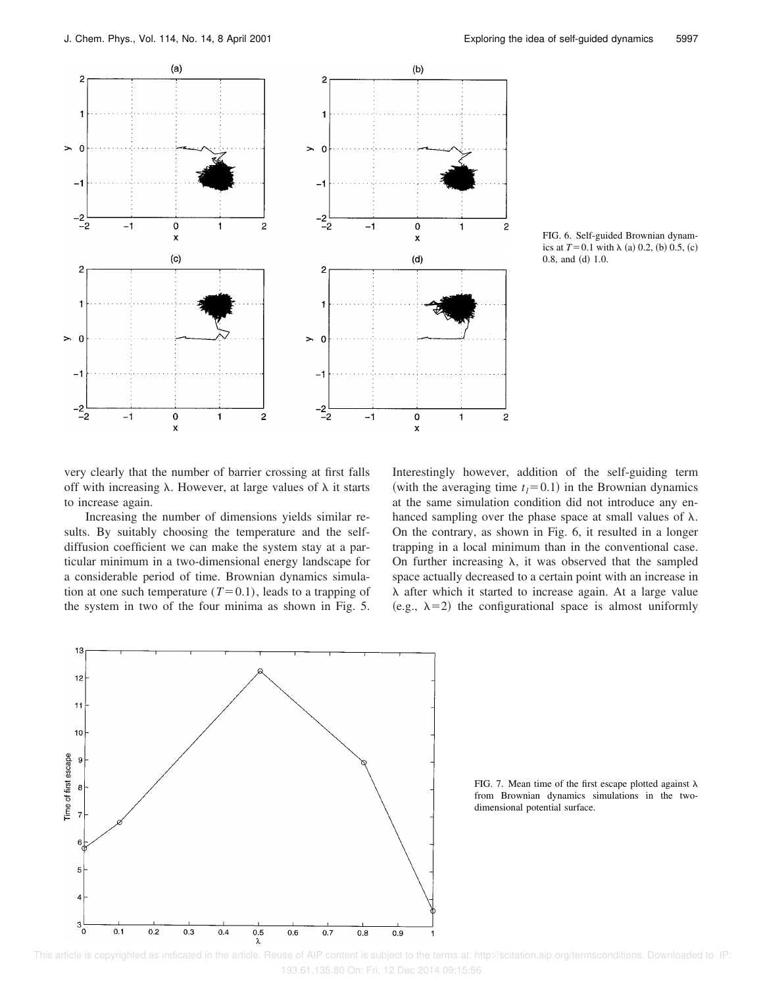

FIG. 6. Self-guided Brownian dynamics at  $T=0.1$  with  $\lambda$  (a) 0.2, (b) 0.5, (c)  $0.8$ , and  $(d) 1.0$ .

very clearly that the number of barrier crossing at first falls off with increasing  $\lambda$ . However, at large values of  $\lambda$  it starts to increase again.

Increasing the number of dimensions yields similar results. By suitably choosing the temperature and the selfdiffusion coefficient we can make the system stay at a particular minimum in a two-dimensional energy landscape for a considerable period of time. Brownian dynamics simulation at one such temperature  $(T=0.1)$ , leads to a trapping of the system in two of the four minima as shown in Fig. 5. Interestingly however, addition of the self-guiding term (with the averaging time  $t_l$ = 0.1) in the Brownian dynamics at the same simulation condition did not introduce any enhanced sampling over the phase space at small values of  $\lambda$ . On the contrary, as shown in Fig. 6, it resulted in a longer trapping in a local minimum than in the conventional case. On further increasing  $\lambda$ , it was observed that the sampled space actually decreased to a certain point with an increase in  $\lambda$  after which it started to increase again. At a large value (e.g.,  $\lambda=2$ ) the configurational space is almost uniformly



FIG. 7. Mean time of the first escape plotted against  $\lambda$ from Brownian dynamics simulations in the twodimensional potential surface.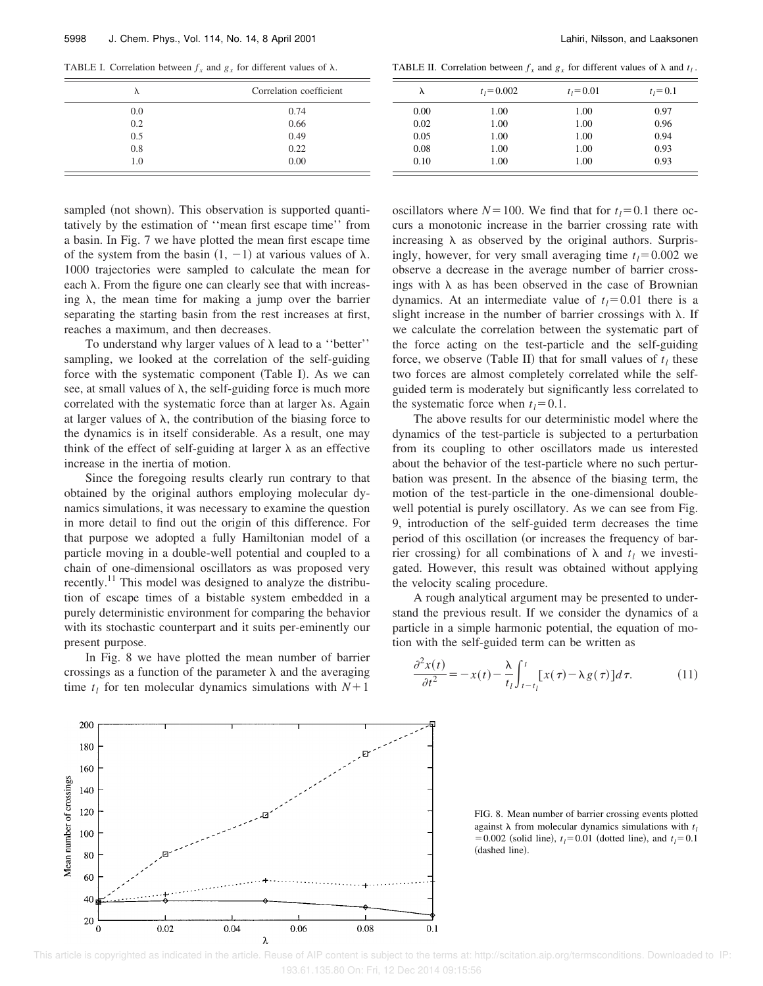TABLE I. Correlation between  $f_x$  and  $g_x$  for different values of  $\lambda$ .

.

| TABLE II. Correlation between $f_x$ and $g_x$ for different values of $\lambda$ and $t_1$ |  |  |  |  |
|-------------------------------------------------------------------------------------------|--|--|--|--|
|                                                                                           |  |  |  |  |

| λ   | Correlation coefficient | л    |
|-----|-------------------------|------|
| 0.0 | 0.74                    | 0.00 |
| 0.2 | 0.66                    | 0.02 |
| 0.5 | 0.49                    | 0.05 |
| 0.8 | 0.22                    | 0.08 |
| 1.0 | 0.00                    | 0.10 |
|     |                         |      |

sampled (not shown). This observation is supported quantitatively by the estimation of ''mean first escape time'' from a basin. In Fig. 7 we have plotted the mean first escape time of the system from the basin  $(1, -1)$  at various values of  $\lambda$ . 1000 trajectories were sampled to calculate the mean for each  $\lambda$ . From the figure one can clearly see that with increasing  $\lambda$ , the mean time for making a jump over the barrier separating the starting basin from the rest increases at first, reaches a maximum, and then decreases.

To understand why larger values of  $\lambda$  lead to a "better" sampling, we looked at the correlation of the self-guiding force with the systematic component (Table I). As we can see, at small values of  $\lambda$ , the self-guiding force is much more correlated with the systematic force than at larger  $\lambda$ s. Again at larger values of  $\lambda$ , the contribution of the biasing force to the dynamics is in itself considerable. As a result, one may think of the effect of self-guiding at larger  $\lambda$  as an effective increase in the inertia of motion.

Since the foregoing results clearly run contrary to that obtained by the original authors employing molecular dynamics simulations, it was necessary to examine the question in more detail to find out the origin of this difference. For that purpose we adopted a fully Hamiltonian model of a particle moving in a double-well potential and coupled to a chain of one-dimensional oscillators as was proposed very recently.<sup>11</sup> This model was designed to analyze the distribution of escape times of a bistable system embedded in a purely deterministic environment for comparing the behavior with its stochastic counterpart and it suits per-eminently our present purpose.

In Fig. 8 we have plotted the mean number of barrier crossings as a function of the parameter  $\lambda$  and the averaging time  $t_l$  for ten molecular dynamics simulations with  $N+1$ 



| λ    | $t_1 = 0.002$ | $t_1 = 0.01$ | $t_1 = 0.1$ |
|------|---------------|--------------|-------------|
| 0.00 | 1.00          | 1.00         | 0.97        |
| 0.02 | 1.00          | 1.00         | 0.96        |
| 0.05 | 1.00          | 1.00         | 0.94        |
| 0.08 | 1.00          | 1.00         | 0.93        |
| 0.10 | 1.00          | 1.00         | 0.93        |

oscillators where  $N=100$ . We find that for  $t<sub>l</sub>=0.1$  there occurs a monotonic increase in the barrier crossing rate with increasing  $\lambda$  as observed by the original authors. Surprisingly, however, for very small averaging time  $t_l = 0.002$  we observe a decrease in the average number of barrier crossings with  $\lambda$  as has been observed in the case of Brownian dynamics. At an intermediate value of  $t_1 = 0.01$  there is a slight increase in the number of barrier crossings with  $\lambda$ . If we calculate the correlation between the systematic part of the force acting on the test-particle and the self-guiding force, we observe (Table II) that for small values of  $t_l$  these two forces are almost completely correlated while the selfguided term is moderately but significantly less correlated to the systematic force when  $t<sub>l</sub> = 0.1$ .

The above results for our deterministic model where the dynamics of the test-particle is subjected to a perturbation from its coupling to other oscillators made us interested about the behavior of the test-particle where no such perturbation was present. In the absence of the biasing term, the motion of the test-particle in the one-dimensional doublewell potential is purely oscillatory. As we can see from Fig. 9, introduction of the self-guided term decreases the time period of this oscillation (or increases the frequency of barrier crossing) for all combinations of  $\lambda$  and  $t_l$  we investigated. However, this result was obtained without applying the velocity scaling procedure.

A rough analytical argument may be presented to understand the previous result. If we consider the dynamics of a particle in a simple harmonic potential, the equation of motion with the self-guided term can be written as

$$
\frac{\partial^2 x(t)}{\partial t^2} = -x(t) - \frac{\lambda}{t_l} \int_{t-t_l}^t [x(\tau) - \lambda g(\tau)] d\tau.
$$
 (11)

FIG. 8. Mean number of barrier crossing events plotted against  $\lambda$  from molecular dynamics simulations with  $t_l$  $= 0.002$  (solid line),  $t_l = 0.01$  (dotted line), and  $t_l = 0.1$ (dashed line).

 This article is copyrighted as indicated in the article. Reuse of AIP content is subject to the terms at: http://scitation.aip.org/termsconditions. Downloaded to IP: 193.61.135.80 On: Fri, 12 Dec 2014 09:15:56